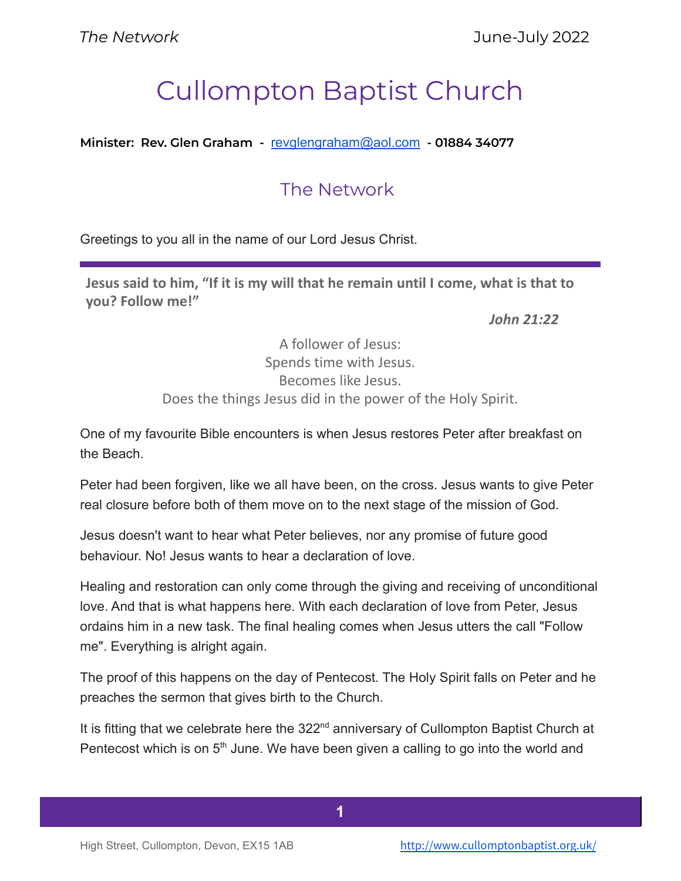# Cullompton Baptist Church

**Minister: Rev. Glen Graham -** [revglengraham@aol.com](mailto:revglengraham@aol.com) **- 01884 34077**

## The Network

Greetings to you all in the name of our Lord Jesus Christ.

**Jesus said to him, "If it is my will that he remain until I come, what is that to you? Follow me!"**

*John 21:22*

A follower of Jesus: Spends time with Jesus. Becomes like Jesus. Does the things Jesus did in the power of the Holy Spirit.

One of my favourite Bible encounters is when Jesus restores Peter after breakfast on the Beach.

Peter had been forgiven, like we all have been, on the cross. Jesus wants to give Peter real closure before both of them move on to the next stage of the mission of God.

Jesus doesn't want to hear what Peter believes, nor any promise of future good behaviour. No! Jesus wants to hear a declaration of love.

Healing and restoration can only come through the giving and receiving of unconditional love. And that is what happens here. With each declaration of love from Peter, Jesus ordains him in a new task. The final healing comes when Jesus utters the call "Follow me". Everything is alright again.

The proof of this happens on the day of Pentecost. The Holy Spirit falls on Peter and he preaches the sermon that gives birth to the Church.

It is fitting that we celebrate here the 322<sup>nd</sup> anniversary of Cullompton Baptist Church at Pentecost which is on 5<sup>th</sup> June. We have been given a calling to go into the world and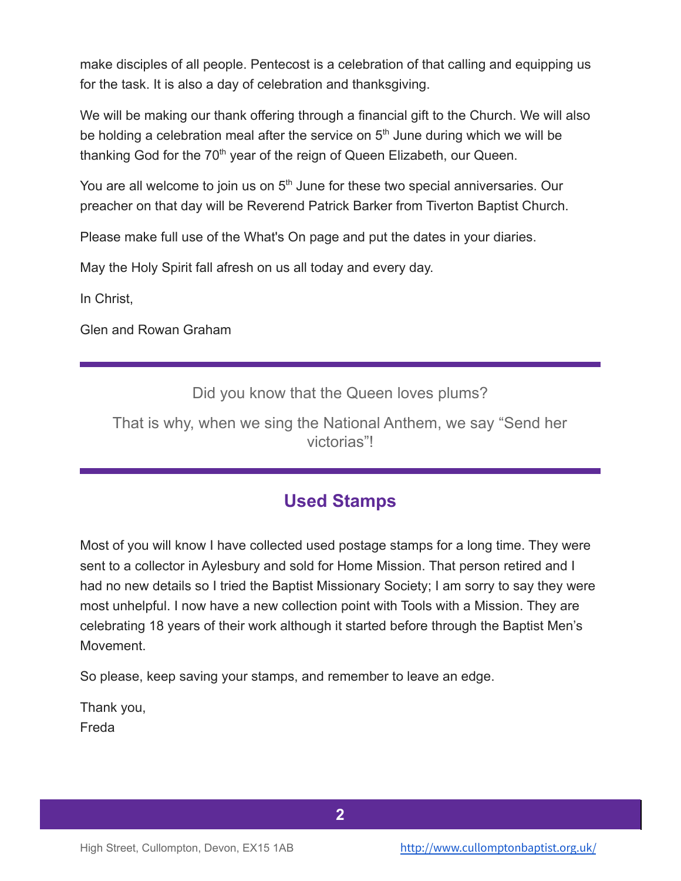make disciples of all people. Pentecost is a celebration of that calling and equipping us for the task. It is also a day of celebration and thanksgiving.

We will be making our thank offering through a financial gift to the Church. We will also be holding a celebration meal after the service on  $5<sup>th</sup>$  June during which we will be thanking God for the 70<sup>th</sup> year of the reign of Queen Elizabeth, our Queen.

You are all welcome to join us on 5<sup>th</sup> June for these two special anniversaries. Our preacher on that day will be Reverend Patrick Barker from Tiverton Baptist Church.

Please make full use of the What's On page and put the dates in your diaries.

May the Holy Spirit fall afresh on us all today and every day.

In Christ,

Glen and Rowan Graham

Did you know that the Queen loves plums?

That is why, when we sing the National Anthem, we say "Send her victorias"!

## **Used Stamps**

Most of you will know I have collected used postage stamps for a long time. They were sent to a collector in Aylesbury and sold for Home Mission. That person retired and I had no new details so I tried the Baptist Missionary Society; I am sorry to say they were most unhelpful. I now have a new collection point with Tools with a Mission. They are celebrating 18 years of their work although it started before through the Baptist Men's Movement.

So please, keep saving your stamps, and remember to leave an edge.

Thank you, Freda